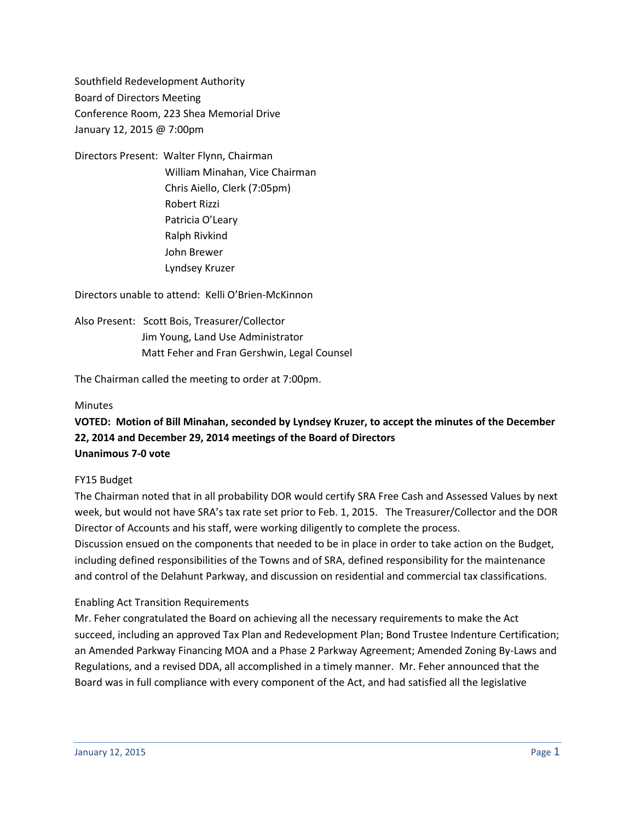Southfield Redevelopment Authority Board of Directors Meeting Conference Room, 223 Shea Memorial Drive January 12, 2015 @ 7:00pm

Directors Present: Walter Flynn, Chairman William Minahan, Vice Chairman Chris Aiello, Clerk (7:05pm) Robert Rizzi Patricia O'Leary Ralph Rivkind John Brewer Lyndsey Kruzer

Directors unable to attend: Kelli O'Brien-McKinnon

Also Present: Scott Bois, Treasurer/Collector Jim Young, Land Use Administrator Matt Feher and Fran Gershwin, Legal Counsel

The Chairman called the meeting to order at 7:00pm.

### **Minutes**

# **VOTED: Motion of Bill Minahan, seconded by Lyndsey Kruzer, to accept the minutes of the December 22, 2014 and December 29, 2014 meetings of the Board of Directors Unanimous 7-0 vote**

### FY15 Budget

The Chairman noted that in all probability DOR would certify SRA Free Cash and Assessed Values by next week, but would not have SRA's tax rate set prior to Feb. 1, 2015. The Treasurer/Collector and the DOR Director of Accounts and his staff, were working diligently to complete the process.

Discussion ensued on the components that needed to be in place in order to take action on the Budget, including defined responsibilities of the Towns and of SRA, defined responsibility for the maintenance and control of the Delahunt Parkway, and discussion on residential and commercial tax classifications.

### Enabling Act Transition Requirements

Mr. Feher congratulated the Board on achieving all the necessary requirements to make the Act succeed, including an approved Tax Plan and Redevelopment Plan; Bond Trustee Indenture Certification; an Amended Parkway Financing MOA and a Phase 2 Parkway Agreement; Amended Zoning By-Laws and Regulations, and a revised DDA, all accomplished in a timely manner. Mr. Feher announced that the Board was in full compliance with every component of the Act, and had satisfied all the legislative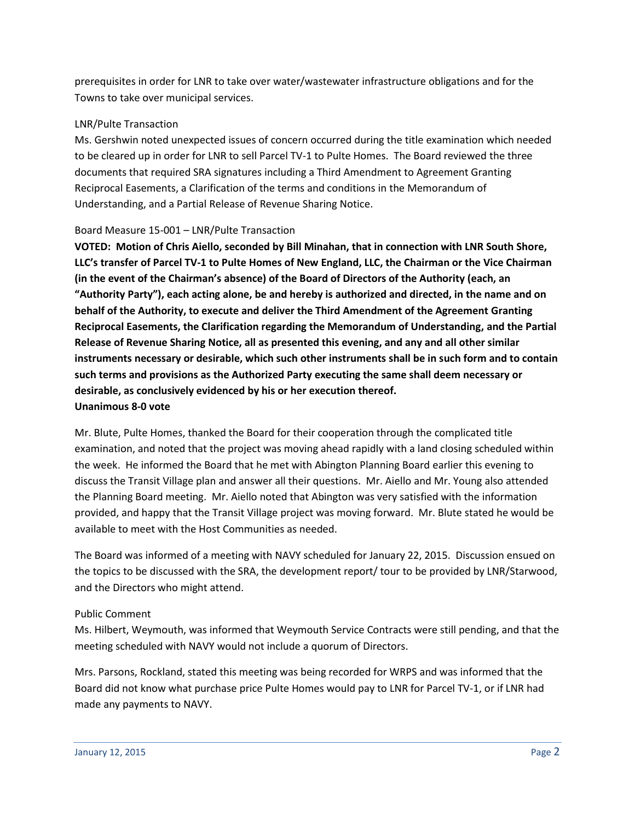prerequisites in order for LNR to take over water/wastewater infrastructure obligations and for the Towns to take over municipal services.

## LNR/Pulte Transaction

Ms. Gershwin noted unexpected issues of concern occurred during the title examination which needed to be cleared up in order for LNR to sell Parcel TV-1 to Pulte Homes. The Board reviewed the three documents that required SRA signatures including a Third Amendment to Agreement Granting Reciprocal Easements, a Clarification of the terms and conditions in the Memorandum of Understanding, and a Partial Release of Revenue Sharing Notice.

## Board Measure 15-001 – LNR/Pulte Transaction

**VOTED: Motion of Chris Aiello, seconded by Bill Minahan, that in connection with LNR South Shore, LLC's transfer of Parcel TV-1 to Pulte Homes of New England, LLC, the Chairman or the Vice Chairman (in the event of the Chairman's absence) of the Board of Directors of the Authority (each, an "Authority Party"), each acting alone, be and hereby is authorized and directed, in the name and on behalf of the Authority, to execute and deliver the Third Amendment of the Agreement Granting Reciprocal Easements, the Clarification regarding the Memorandum of Understanding, and the Partial Release of Revenue Sharing Notice, all as presented this evening, and any and all other similar instruments necessary or desirable, which such other instruments shall be in such form and to contain such terms and provisions as the Authorized Party executing the same shall deem necessary or desirable, as conclusively evidenced by his or her execution thereof. Unanimous 8-0 vote**

Mr. Blute, Pulte Homes, thanked the Board for their cooperation through the complicated title examination, and noted that the project was moving ahead rapidly with a land closing scheduled within the week. He informed the Board that he met with Abington Planning Board earlier this evening to discuss the Transit Village plan and answer all their questions. Mr. Aiello and Mr. Young also attended the Planning Board meeting. Mr. Aiello noted that Abington was very satisfied with the information provided, and happy that the Transit Village project was moving forward. Mr. Blute stated he would be available to meet with the Host Communities as needed.

The Board was informed of a meeting with NAVY scheduled for January 22, 2015. Discussion ensued on the topics to be discussed with the SRA, the development report/ tour to be provided by LNR/Starwood, and the Directors who might attend.

## Public Comment

Ms. Hilbert, Weymouth, was informed that Weymouth Service Contracts were still pending, and that the meeting scheduled with NAVY would not include a quorum of Directors.

Mrs. Parsons, Rockland, stated this meeting was being recorded for WRPS and was informed that the Board did not know what purchase price Pulte Homes would pay to LNR for Parcel TV-1, or if LNR had made any payments to NAVY.